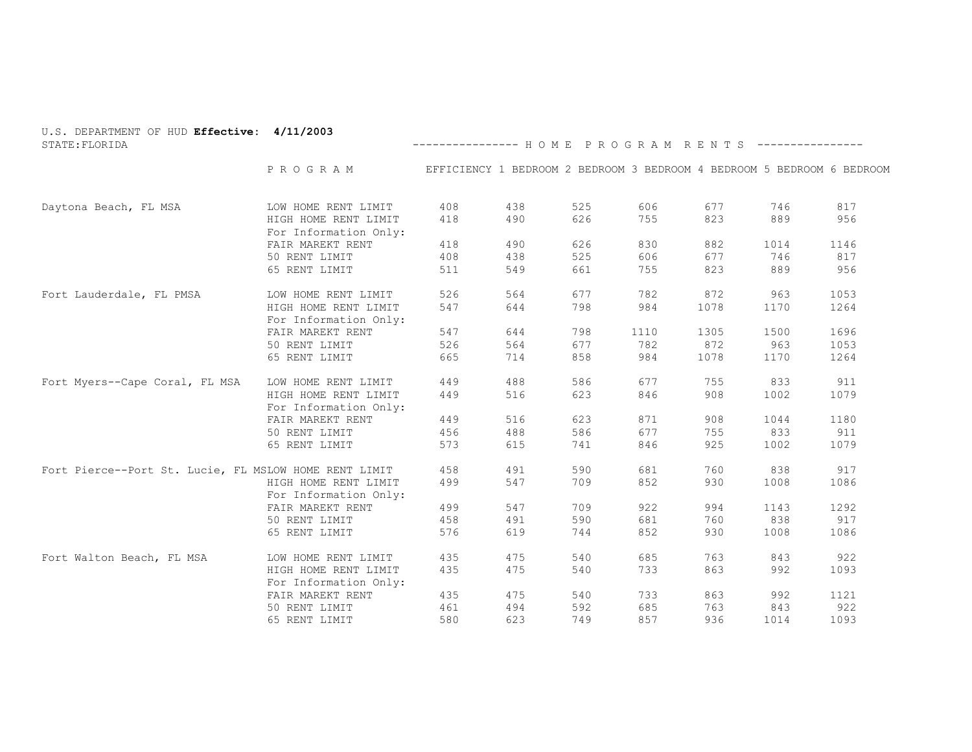| U.S. DEPARTMENT OF HUD Effective: 4/11/2003<br>STATE: FLORIDA |                                           | --------------- HOME PROGRAM RENTS ---------------- |     |     |      |      |      |                                                                        |
|---------------------------------------------------------------|-------------------------------------------|-----------------------------------------------------|-----|-----|------|------|------|------------------------------------------------------------------------|
|                                                               | P R O G R A M                             |                                                     |     |     |      |      |      | EFFICIENCY 1 BEDROOM 2 BEDROOM 3 BEDROOM 4 BEDROOM 5 BEDROOM 6 BEDROOM |
| Daytona Beach, FL MSA                                         | LOW HOME RENT LIMIT                       | 408                                                 | 438 | 525 | 606  | 677  | 746  | 817                                                                    |
|                                                               | HIGH HOME RENT LIMIT                      | 418                                                 | 490 | 626 | 755  | 823  | 889  | 956                                                                    |
|                                                               | For Information Only:                     |                                                     |     |     |      |      |      |                                                                        |
|                                                               | FAIR MAREKT RENT                          | 418                                                 | 490 | 626 | 830  | 882  | 1014 | 1146                                                                   |
|                                                               | 50 RENT LIMIT                             | 408                                                 | 438 | 525 | 606  | 677  | 746  | 817                                                                    |
|                                                               | 65 RENT LIMIT                             | 511                                                 | 549 | 661 | 755  | 823  | 889  | 956                                                                    |
| Fort Lauderdale, FL PMSA                                      | LOW HOME RENT LIMIT                       | 526                                                 | 564 | 677 | 782  | 872  | 963  | 1053                                                                   |
|                                                               | HIGH HOME RENT LIMIT                      | 547                                                 | 644 | 798 | 984  | 1078 | 1170 | 1264                                                                   |
|                                                               | For Information Only:                     |                                                     |     |     |      |      |      |                                                                        |
|                                                               | FAIR MAREKT RENT                          | 547                                                 | 644 | 798 | 1110 | 1305 | 1500 | 1696                                                                   |
|                                                               | 50 RENT LIMIT                             | 526                                                 | 564 | 677 | 782  | 872  | 963  | 1053                                                                   |
|                                                               | 65 RENT LIMIT                             | 665                                                 | 714 | 858 | 984  | 1078 | 1170 | 1264                                                                   |
| Fort Myers--Cape Coral, FL MSA                                | LOW HOME RENT LIMIT                       | 449                                                 | 488 | 586 | 677  | 755  | 833  | 911                                                                    |
|                                                               | HIGH HOME RENT LIMIT                      | 449                                                 | 516 | 623 | 846  | 908  | 1002 | 1079                                                                   |
|                                                               | For Information Only:                     |                                                     |     |     |      |      |      |                                                                        |
|                                                               | FAIR MAREKT RENT                          | 449                                                 | 516 | 623 | 871  | 908  | 1044 | 1180                                                                   |
|                                                               | 50 RENT LIMIT                             | 456                                                 | 488 | 586 | 677  | 755  | 833  | 911                                                                    |
|                                                               | 65 RENT LIMIT                             | 573                                                 | 615 | 741 | 846  | 925  | 1002 | 1079                                                                   |
| Fort Pierce--Port St. Lucie, FL MSLOW HOME RENT LIMIT         |                                           | 458                                                 | 491 | 590 | 681  | 760  | 838  | 917                                                                    |
|                                                               | HIGH HOME RENT LIMIT                      | 499                                                 | 547 | 709 | 852  | 930  | 1008 | 1086                                                                   |
|                                                               | For Information Only:<br>FAIR MAREKT RENT | 499                                                 | 547 | 709 | 922  | 994  | 1143 | 1292                                                                   |
|                                                               | 50 RENT LIMIT                             | 458                                                 | 491 | 590 | 681  | 760  | 838  | 917                                                                    |
|                                                               | 65 RENT LIMIT                             | 576                                                 | 619 | 744 | 852  | 930  | 1008 | 1086                                                                   |
| Fort Walton Beach, FL MSA                                     | LOW HOME RENT LIMIT                       | 435                                                 | 475 | 540 | 685  | 763  | 843  | 922                                                                    |
|                                                               | HIGH HOME RENT LIMIT                      | 435                                                 | 475 | 540 | 733  | 863  | 992  | 1093                                                                   |
|                                                               | For Information Only:                     |                                                     |     |     |      |      |      |                                                                        |
|                                                               | FAIR MAREKT RENT                          | 435                                                 | 475 | 540 | 733  | 863  | 992  | 1121                                                                   |
|                                                               | 50 RENT LIMIT                             | 461                                                 | 494 | 592 | 685  | 763  | 843  | 922                                                                    |
|                                                               | 65 RENT LIMIT                             | 580                                                 | 623 | 749 | 857  | 936  | 1014 | 1093                                                                   |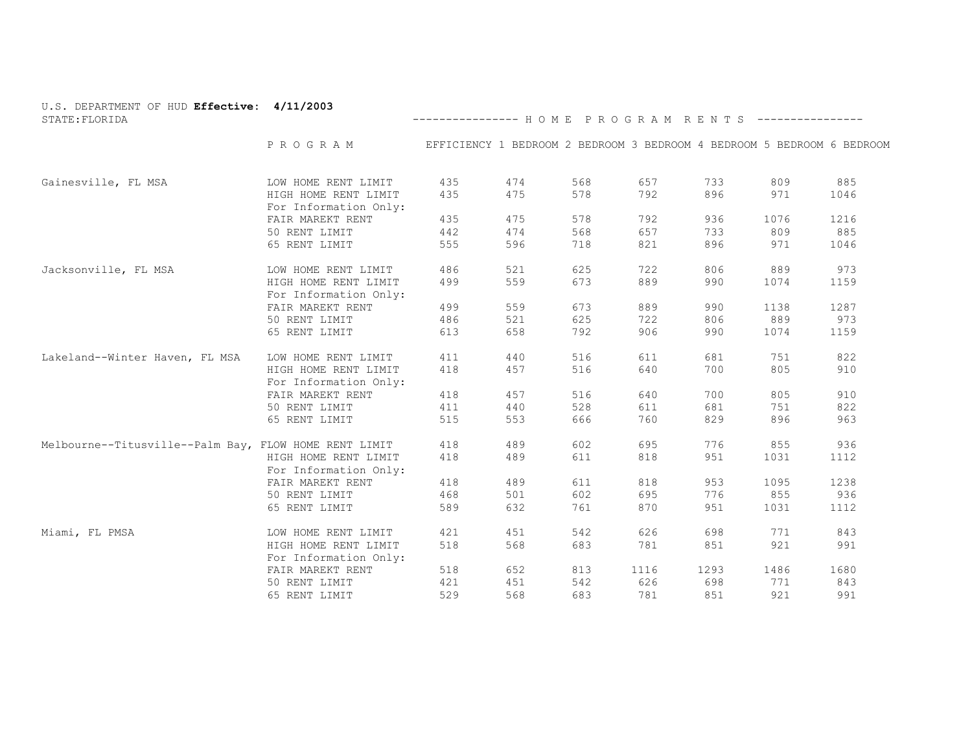| U.S. DEPARTMENT OF HUD Effective: 4/11/2003<br>STATE: FLORIDA |                                               | --------------- HOME PROGRAM RENTS ----------------                    |     |     |      |      |      |      |
|---------------------------------------------------------------|-----------------------------------------------|------------------------------------------------------------------------|-----|-----|------|------|------|------|
|                                                               | PROGRAM                                       | EFFICIENCY 1 BEDROOM 2 BEDROOM 3 BEDROOM 4 BEDROOM 5 BEDROOM 6 BEDROOM |     |     |      |      |      |      |
| Gainesville, FL MSA                                           | LOW HOME RENT LIMIT                           | 435                                                                    | 474 | 568 | 657  | 733  | 809  | 885  |
|                                                               | HIGH HOME RENT LIMIT<br>For Information Only: | 435                                                                    | 475 | 578 | 792  | 896  | 971  | 1046 |
|                                                               | FAIR MAREKT RENT                              | 435                                                                    | 475 | 578 | 792  | 936  | 1076 | 1216 |
|                                                               | 50 RENT LIMIT                                 | 442                                                                    | 474 | 568 | 657  | 733  | 809  | 885  |
|                                                               | 65 RENT LIMIT                                 | 555                                                                    | 596 | 718 | 821  | 896  | 971  | 1046 |
| Jacksonville, FL MSA                                          | LOW HOME RENT LIMIT                           | 486                                                                    | 521 | 625 | 722  | 806  | 889  | 973  |
|                                                               | HIGH HOME RENT LIMIT<br>For Information Only: | 499                                                                    | 559 | 673 | 889  | 990  | 1074 | 1159 |
|                                                               | FAIR MAREKT RENT                              | 499                                                                    | 559 | 673 | 889  | 990  | 1138 | 1287 |
|                                                               | 50 RENT LIMIT                                 | 486                                                                    | 521 | 625 | 722  | 806  | 889  | 973  |
|                                                               | 65 RENT LIMIT                                 | 613                                                                    | 658 | 792 | 906  | 990  | 1074 | 1159 |
| Lakeland--Winter Haven, FL MSA                                | LOW HOME RENT LIMIT                           | 411                                                                    | 440 | 516 | 611  | 681  | 751  | 822  |
|                                                               | HIGH HOME RENT LIMIT<br>For Information Only: | 418                                                                    | 457 | 516 | 640  | 700  | 805  | 910  |
|                                                               | FAIR MAREKT RENT                              | 418                                                                    | 457 | 516 | 640  | 700  | 805  | 910  |
|                                                               | 50 RENT LIMIT                                 | 411                                                                    | 440 | 528 | 611  | 681  | 751  | 822  |
|                                                               | 65 RENT LIMIT                                 | 515                                                                    | 553 | 666 | 760  | 829  | 896  | 963  |
| Melbourne--Titusville--Palm Bay, FLOW HOME RENT LIMIT         |                                               | 418                                                                    | 489 | 602 | 695  | 776  | 855  | 936  |
|                                                               | HIGH HOME RENT LIMIT<br>For Information Only: | 418                                                                    | 489 | 611 | 818  | 951  | 1031 | 1112 |
|                                                               | FAIR MAREKT RENT                              | 418                                                                    | 489 | 611 | 818  | 953  | 1095 | 1238 |
|                                                               | 50 RENT LIMIT                                 | 468                                                                    | 501 | 602 | 695  | 776  | 855  | 936  |
|                                                               | 65 RENT LIMIT                                 | 589                                                                    | 632 | 761 | 870  | 951  | 1031 | 1112 |
| Miami, FL PMSA                                                | LOW HOME RENT LIMIT                           | 421                                                                    | 451 | 542 | 626  | 698  | 771  | 843  |
|                                                               | HIGH HOME RENT LIMIT<br>For Information Only: | 518                                                                    | 568 | 683 | 781  | 851  | 921  | 991  |
|                                                               | FAIR MAREKT RENT                              | 518                                                                    | 652 | 813 | 1116 | 1293 | 1486 | 1680 |
|                                                               | 50 RENT LIMIT                                 | 421                                                                    | 451 | 542 | 626  | 698  | 771  | 843  |
|                                                               | 65 RENT LIMIT                                 | 529                                                                    | 568 | 683 | 781  | 851  | 921  | 991  |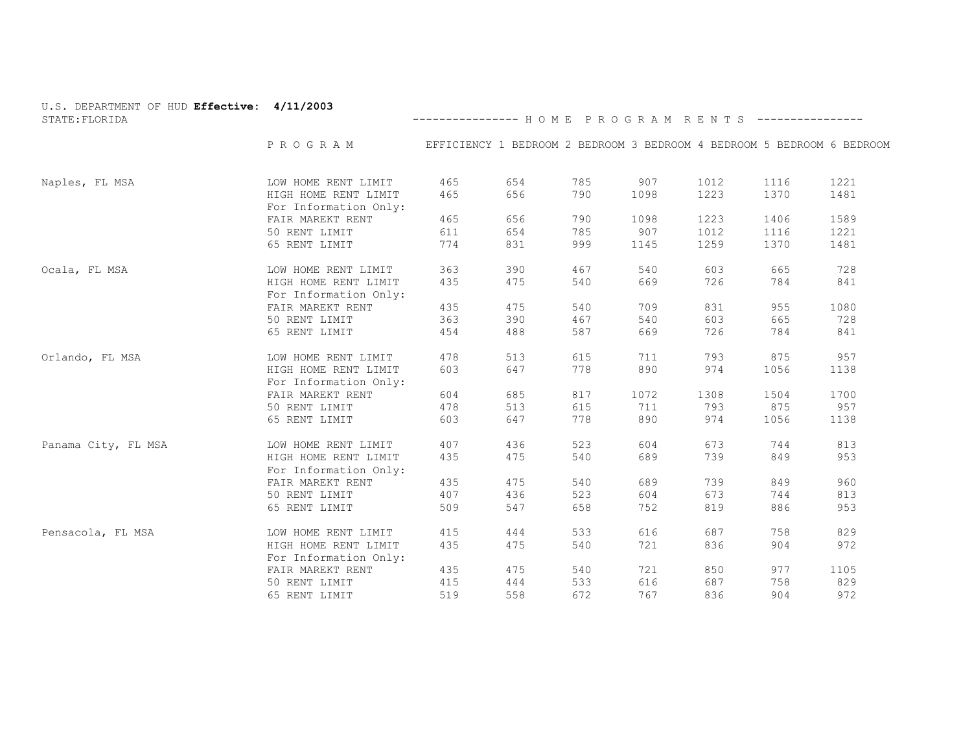| U.S. DEPARTMENT OF HUD Effective: 4/11/2003<br>STATE: FLORIDA |                                           | --------------- HOME PROGRAM RENTS ----------------                    |     |     |      |      |      |      |
|---------------------------------------------------------------|-------------------------------------------|------------------------------------------------------------------------|-----|-----|------|------|------|------|
|                                                               | PROGRAM                                   | EFFICIENCY 1 BEDROOM 2 BEDROOM 3 BEDROOM 4 BEDROOM 5 BEDROOM 6 BEDROOM |     |     |      |      |      |      |
|                                                               |                                           |                                                                        |     |     |      |      |      |      |
| Naples, FL MSA                                                | LOW HOME RENT LIMIT                       | 465                                                                    | 654 | 785 | 907  | 1012 | 1116 | 1221 |
|                                                               | HIGH HOME RENT LIMIT                      | 465                                                                    | 656 | 790 | 1098 | 1223 | 1370 | 1481 |
|                                                               | For Information Only:                     |                                                                        |     |     |      |      |      |      |
|                                                               | FAIR MAREKT RENT                          | 465                                                                    | 656 | 790 | 1098 | 1223 | 1406 | 1589 |
|                                                               | 50 RENT LIMIT                             | 611                                                                    | 654 | 785 | 907  | 1012 | 1116 | 1221 |
|                                                               | 65 RENT LIMIT                             | 774                                                                    | 831 | 999 | 1145 | 1259 | 1370 | 1481 |
| Ocala, FL MSA                                                 | LOW HOME RENT LIMIT                       | 363                                                                    | 390 | 467 | 540  | 603  | 665  | 728  |
|                                                               | HIGH HOME RENT LIMIT                      | 435                                                                    | 475 | 540 | 669  | 726  | 784  | 841  |
|                                                               | For Information Only:                     |                                                                        |     |     |      |      |      |      |
|                                                               | FAIR MAREKT RENT                          | 435                                                                    | 475 | 540 | 709  | 831  | 955  | 1080 |
|                                                               | 50 RENT LIMIT                             | 363                                                                    | 390 | 467 | 540  | 603  | 665  | 728  |
|                                                               | 65 RENT LIMIT                             | 454                                                                    | 488 | 587 | 669  | 726  | 784  | 841  |
| Orlando, FL MSA                                               | LOW HOME RENT LIMIT                       | 478                                                                    | 513 | 615 | 711  | 793  | 875  | 957  |
|                                                               | HIGH HOME RENT LIMIT                      | 603                                                                    | 647 | 778 | 890  | 974  | 1056 | 1138 |
|                                                               | For Information Only:                     |                                                                        |     |     |      |      |      |      |
|                                                               | FAIR MAREKT RENT                          | 604                                                                    | 685 | 817 | 1072 | 1308 | 1504 | 1700 |
|                                                               | 50 RENT LIMIT                             | 478                                                                    | 513 | 615 | 711  | 793  | 875  | 957  |
|                                                               | 65 RENT LIMIT                             | 603                                                                    | 647 | 778 | 890  | 974  | 1056 | 1138 |
| Panama City, FL MSA                                           | LOW HOME RENT LIMIT                       | 407                                                                    | 436 | 523 | 604  | 673  | 744  | 813  |
|                                                               | HIGH HOME RENT LIMIT                      | 435                                                                    | 475 | 540 | 689  | 739  | 849  | 953  |
|                                                               | For Information Only:<br>FAIR MAREKT RENT | 435                                                                    | 475 | 540 | 689  | 739  | 849  | 960  |
|                                                               | 50 RENT LIMIT                             | 407                                                                    | 436 | 523 | 604  | 673  | 744  | 813  |
|                                                               |                                           |                                                                        |     |     |      |      |      |      |
|                                                               | 65 RENT LIMIT                             | 509                                                                    | 547 | 658 | 752  | 819  | 886  | 953  |
| Pensacola, FL MSA                                             | LOW HOME RENT LIMIT                       | 415                                                                    | 444 | 533 | 616  | 687  | 758  | 829  |
|                                                               | HIGH HOME RENT LIMIT                      | 435                                                                    | 475 | 540 | 721  | 836  | 904  | 972  |
|                                                               | For Information Only:                     |                                                                        |     |     |      |      |      |      |
|                                                               | FAIR MAREKT RENT                          | 435                                                                    | 475 | 540 | 721  | 850  | 977  | 1105 |
|                                                               | 50 RENT LIMIT                             | 415                                                                    | 444 | 533 | 616  | 687  | 758  | 829  |
|                                                               | 65 RENT LIMIT                             | 519                                                                    | 558 | 672 | 767  | 836  | 904  | 972  |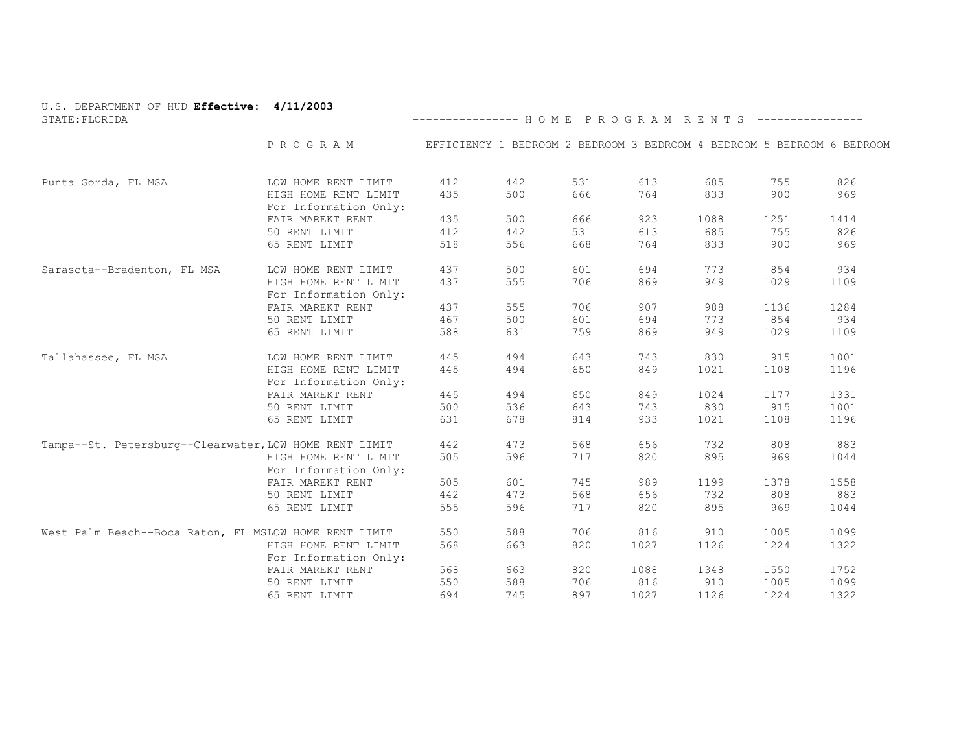| U.S. DEPARTMENT OF HUD Effective: 4/11/2003<br>STATE: FLORIDA |                                               | --------------- HOME PROGRAM RENTS ----------------                    |     |     |      |      |      |      |
|---------------------------------------------------------------|-----------------------------------------------|------------------------------------------------------------------------|-----|-----|------|------|------|------|
|                                                               | PROGRAM                                       | EFFICIENCY 1 BEDROOM 2 BEDROOM 3 BEDROOM 4 BEDROOM 5 BEDROOM 6 BEDROOM |     |     |      |      |      |      |
| Punta Gorda, FL MSA                                           | LOW HOME RENT LIMIT                           | 412                                                                    | 442 | 531 | 613  | 685  | 755  | 826  |
|                                                               | HIGH HOME RENT LIMIT<br>For Information Only: | 435                                                                    | 500 | 666 | 764  | 833  | 900  | 969  |
|                                                               | FAIR MAREKT RENT                              | 435                                                                    | 500 | 666 | 923  | 1088 | 1251 | 1414 |
|                                                               | 50 RENT LIMIT                                 | 412                                                                    | 442 | 531 | 613  | 685  | 755  | 826  |
|                                                               | 65 RENT LIMIT                                 | 518                                                                    | 556 | 668 | 764  | 833  | 900  | 969  |
| Sarasota--Bradenton, FL MSA                                   | LOW HOME RENT LIMIT                           | 437                                                                    | 500 | 601 | 694  | 773  | 854  | 934  |
|                                                               | HIGH HOME RENT LIMIT                          | 437                                                                    | 555 | 706 | 869  | 949  | 1029 | 1109 |
|                                                               | For Information Only:                         |                                                                        |     |     |      |      |      |      |
|                                                               | FAIR MAREKT RENT                              | 437                                                                    | 555 | 706 | 907  | 988  | 1136 | 1284 |
|                                                               | 50 RENT LIMIT                                 | 467                                                                    | 500 | 601 | 694  | 773  | 854  | 934  |
|                                                               | 65 RENT LIMIT                                 | 588                                                                    | 631 | 759 | 869  | 949  | 1029 | 1109 |
| Tallahassee, FL MSA                                           | LOW HOME RENT LIMIT                           | 445                                                                    | 494 | 643 | 743  | 830  | 915  | 1001 |
|                                                               | HIGH HOME RENT LIMIT<br>For Information Only: | 445                                                                    | 494 | 650 | 849  | 1021 | 1108 | 1196 |
|                                                               | FAIR MAREKT RENT                              | 445                                                                    | 494 | 650 | 849  | 1024 | 1177 | 1331 |
|                                                               | 50 RENT LIMIT                                 | 500                                                                    | 536 | 643 | 743  | 830  | 915  | 1001 |
|                                                               | 65 RENT LIMIT                                 | 631                                                                    | 678 | 814 | 933  | 1021 | 1108 | 1196 |
| Tampa--St. Petersburg--Clearwater, LOW HOME RENT LIMIT        |                                               | 442                                                                    | 473 | 568 | 656  | 732  | 808  | 883  |
|                                                               | HIGH HOME RENT LIMIT                          | 505                                                                    | 596 | 717 | 820  | 895  | 969  | 1044 |
|                                                               | For Information Only:                         |                                                                        |     |     |      |      |      |      |
|                                                               | FAIR MAREKT RENT                              | 505                                                                    | 601 | 745 | 989  | 1199 | 1378 | 1558 |
|                                                               | 50 RENT LIMIT                                 | 442                                                                    | 473 | 568 | 656  | 732  | 808  | 883  |
|                                                               | 65 RENT LIMIT                                 | 555                                                                    | 596 | 717 | 820  | 895  | 969  | 1044 |
| West Palm Beach--Boca Raton, FL MSLOW HOME RENT LIMIT         |                                               | 550                                                                    | 588 | 706 | 816  | 910  | 1005 | 1099 |
|                                                               | HIGH HOME RENT LIMIT                          | 568                                                                    | 663 | 820 | 1027 | 1126 | 1224 | 1322 |
|                                                               | For Information Only:                         |                                                                        |     |     |      |      |      |      |
|                                                               | FAIR MAREKT RENT                              | 568                                                                    | 663 | 820 | 1088 | 1348 | 1550 | 1752 |
|                                                               | 50 RENT LIMIT                                 | 550                                                                    | 588 | 706 | 816  | 910  | 1005 | 1099 |
|                                                               | 65 RENT LIMIT                                 | 694                                                                    | 745 | 897 | 1027 | 1126 | 1224 | 1322 |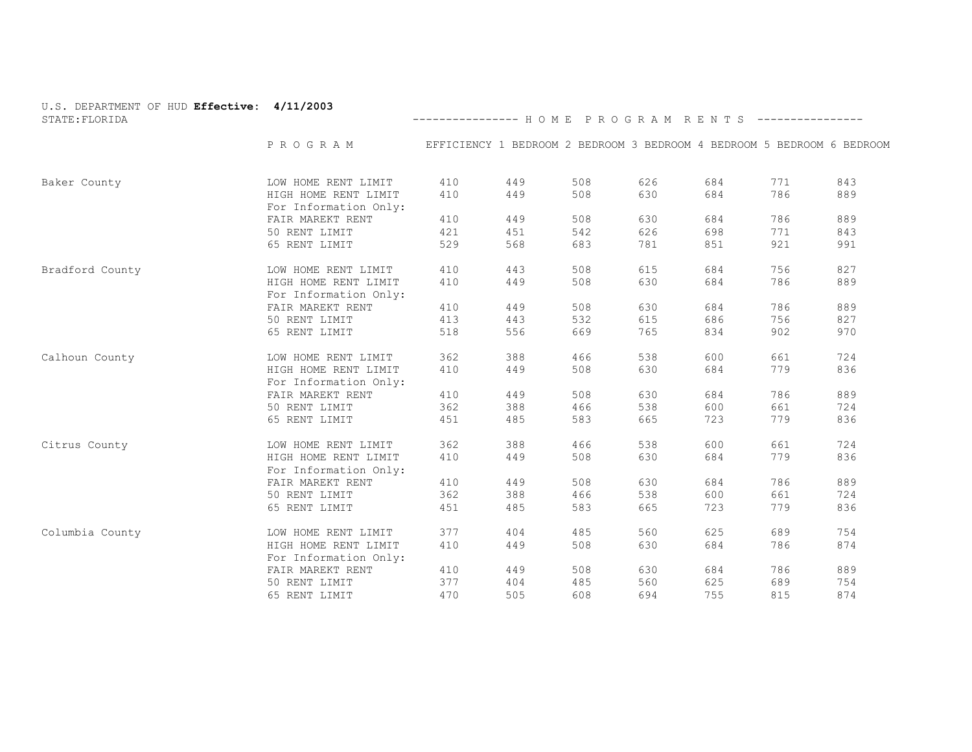| U.S. DEPARTMENT OF HUD Effective: 4/11/2003<br>STATE: FLORIDA |                                               | --------------- HOME PROGRAM RENTS ---------------- |     |                                                                        |     |     |     |     |
|---------------------------------------------------------------|-----------------------------------------------|-----------------------------------------------------|-----|------------------------------------------------------------------------|-----|-----|-----|-----|
|                                                               |                                               |                                                     |     |                                                                        |     |     |     |     |
|                                                               | PROGRAM                                       |                                                     |     | EFFICIENCY 1 BEDROOM 2 BEDROOM 3 BEDROOM 4 BEDROOM 5 BEDROOM 6 BEDROOM |     |     |     |     |
| Baker County                                                  | LOW HOME RENT LIMIT                           | 410                                                 | 449 | 508                                                                    | 626 | 684 | 771 | 843 |
|                                                               | HIGH HOME RENT LIMIT<br>For Information Only: | 410                                                 | 449 | 508                                                                    | 630 | 684 | 786 | 889 |
|                                                               | FAIR MAREKT RENT                              | 410                                                 | 449 | 508                                                                    | 630 | 684 | 786 | 889 |
|                                                               | 50 RENT LIMIT                                 | 421                                                 | 451 | 542                                                                    | 626 | 698 | 771 | 843 |
|                                                               | 65 RENT LIMIT                                 | 529                                                 | 568 | 683                                                                    | 781 | 851 | 921 | 991 |
| Bradford County                                               | LOW HOME RENT LIMIT                           | 410                                                 | 443 | 508                                                                    | 615 | 684 | 756 | 827 |
|                                                               | HIGH HOME RENT LIMIT<br>For Information Only: | 410                                                 | 449 | 508                                                                    | 630 | 684 | 786 | 889 |
|                                                               | FAIR MAREKT RENT                              | 410                                                 | 449 | 508                                                                    | 630 | 684 | 786 | 889 |
|                                                               | 50 RENT LIMIT                                 | 413                                                 | 443 | 532                                                                    | 615 | 686 | 756 | 827 |
|                                                               | 65 RENT LIMIT                                 | 518                                                 | 556 | 669                                                                    | 765 | 834 | 902 | 970 |
| Calhoun County                                                | LOW HOME RENT LIMIT                           | 362                                                 | 388 | 466                                                                    | 538 | 600 | 661 | 724 |
|                                                               | HIGH HOME RENT LIMIT<br>For Information Only: | 410                                                 | 449 | 508                                                                    | 630 | 684 | 779 | 836 |
|                                                               | FAIR MAREKT RENT                              | 410                                                 | 449 | 508                                                                    | 630 | 684 | 786 | 889 |
|                                                               | 50 RENT LIMIT                                 | 362                                                 | 388 | 466                                                                    | 538 | 600 | 661 | 724 |
|                                                               | 65 RENT LIMIT                                 | 451                                                 | 485 | 583                                                                    | 665 | 723 | 779 | 836 |
| Citrus County                                                 | LOW HOME RENT LIMIT                           | 362                                                 | 388 | 466                                                                    | 538 | 600 | 661 | 724 |
|                                                               | HIGH HOME RENT LIMIT<br>For Information Only: | 410                                                 | 449 | 508                                                                    | 630 | 684 | 779 | 836 |
|                                                               | FAIR MAREKT RENT                              | 410                                                 | 449 | 508                                                                    | 630 | 684 | 786 | 889 |
|                                                               | 50 RENT LIMIT                                 | 362                                                 | 388 | 466                                                                    | 538 | 600 | 661 | 724 |
|                                                               | 65 RENT LIMIT                                 | 451                                                 | 485 | 583                                                                    | 665 | 723 | 779 | 836 |
| Columbia County                                               | LOW HOME RENT LIMIT                           | 377                                                 | 404 | 485                                                                    | 560 | 625 | 689 | 754 |
|                                                               | HIGH HOME RENT LIMIT<br>For Information Only: | 410                                                 | 449 | 508                                                                    | 630 | 684 | 786 | 874 |
|                                                               | FAIR MAREKT RENT                              | 410                                                 | 449 | 508                                                                    | 630 | 684 | 786 | 889 |
|                                                               | 50 RENT LIMIT                                 | 377                                                 | 404 | 485                                                                    | 560 | 625 | 689 | 754 |
|                                                               | 65 RENT LIMIT                                 | 470                                                 | 505 | 608                                                                    | 694 | 755 | 815 | 874 |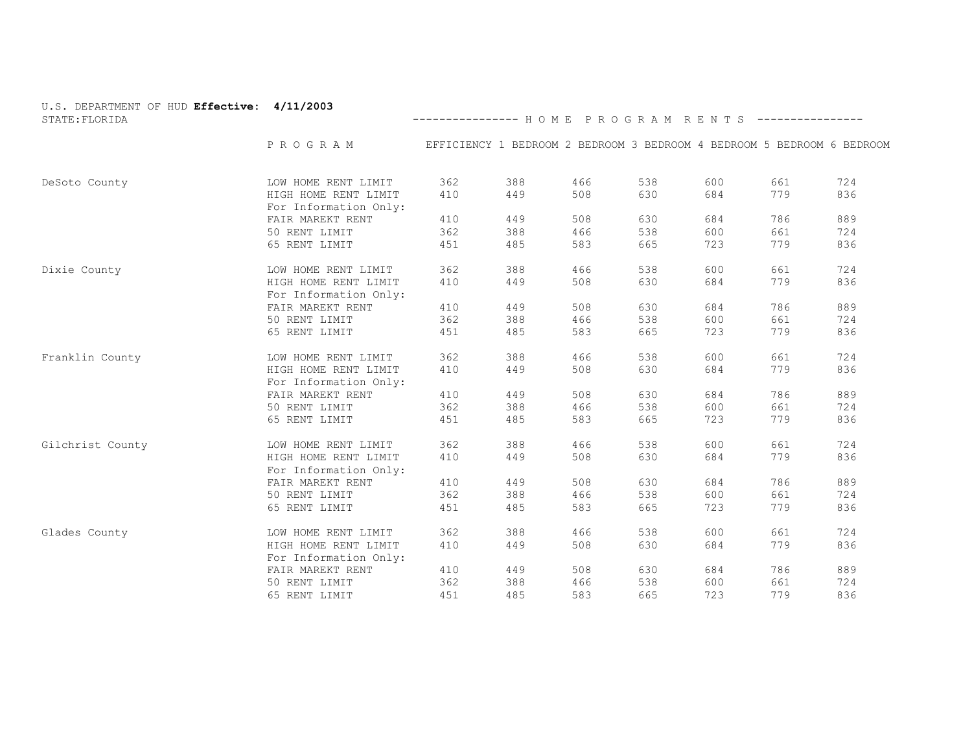| U.S. DEPARTMENT OF HUD Effective: 4/11/2003<br>STATE: FLORIDA |                                               | --------------- HOME PROGRAM RENTS ----------------                    |     |     |     |     |     |     |
|---------------------------------------------------------------|-----------------------------------------------|------------------------------------------------------------------------|-----|-----|-----|-----|-----|-----|
|                                                               | P R O G R A M                                 | EFFICIENCY 1 BEDROOM 2 BEDROOM 3 BEDROOM 4 BEDROOM 5 BEDROOM 6 BEDROOM |     |     |     |     |     |     |
| DeSoto County                                                 | LOW HOME RENT LIMIT                           | 362                                                                    | 388 | 466 | 538 | 600 | 661 | 724 |
|                                                               | HIGH HOME RENT LIMIT<br>For Information Only: | 410                                                                    | 449 | 508 | 630 | 684 | 779 | 836 |
|                                                               | FAIR MAREKT RENT                              | 410                                                                    | 449 | 508 | 630 | 684 | 786 | 889 |
|                                                               | 50 RENT LIMIT                                 | 362                                                                    | 388 | 466 | 538 | 600 | 661 | 724 |
|                                                               | 65 RENT LIMIT                                 | 451                                                                    | 485 | 583 | 665 | 723 | 779 | 836 |
| Dixie County                                                  | LOW HOME RENT LIMIT                           | 362                                                                    | 388 | 466 | 538 | 600 | 661 | 724 |
|                                                               | HIGH HOME RENT LIMIT<br>For Information Only: | 410                                                                    | 449 | 508 | 630 | 684 | 779 | 836 |
|                                                               | FAIR MAREKT RENT                              | 410                                                                    | 449 | 508 | 630 | 684 | 786 | 889 |
|                                                               | 50 RENT LIMIT                                 | 362                                                                    | 388 | 466 | 538 | 600 | 661 | 724 |
|                                                               | 65 RENT LIMIT                                 | 451                                                                    | 485 | 583 | 665 | 723 | 779 | 836 |
| Franklin County                                               | LOW HOME RENT LIMIT                           | 362                                                                    | 388 | 466 | 538 | 600 | 661 | 724 |
|                                                               | HIGH HOME RENT LIMIT<br>For Information Only: | 410                                                                    | 449 | 508 | 630 | 684 | 779 | 836 |
|                                                               | FAIR MAREKT RENT                              | 410                                                                    | 449 | 508 | 630 | 684 | 786 | 889 |
|                                                               | 50 RENT LIMIT                                 | 362                                                                    | 388 | 466 | 538 | 600 | 661 | 724 |
|                                                               | 65 RENT LIMIT                                 | 451                                                                    | 485 | 583 | 665 | 723 | 779 | 836 |
| Gilchrist County                                              | LOW HOME RENT LIMIT                           | 362                                                                    | 388 | 466 | 538 | 600 | 661 | 724 |
|                                                               | HIGH HOME RENT LIMIT<br>For Information Only: | 410                                                                    | 449 | 508 | 630 | 684 | 779 | 836 |
|                                                               | FAIR MAREKT RENT                              | 410                                                                    | 449 | 508 | 630 | 684 | 786 | 889 |
|                                                               | 50 RENT LIMIT                                 | 362                                                                    | 388 | 466 | 538 | 600 | 661 | 724 |
|                                                               | 65 RENT LIMIT                                 | 451                                                                    | 485 | 583 | 665 | 723 | 779 | 836 |
| Glades County                                                 | LOW HOME RENT LIMIT                           | 362                                                                    | 388 | 466 | 538 | 600 | 661 | 724 |
|                                                               | HIGH HOME RENT LIMIT<br>For Information Only: | 410                                                                    | 449 | 508 | 630 | 684 | 779 | 836 |
|                                                               | FAIR MAREKT RENT                              | 410                                                                    | 449 | 508 | 630 | 684 | 786 | 889 |
|                                                               | 50 RENT LIMIT                                 | 362                                                                    | 388 | 466 | 538 | 600 | 661 | 724 |
|                                                               | 65 RENT LIMIT                                 | 451                                                                    | 485 | 583 | 665 | 723 | 779 | 836 |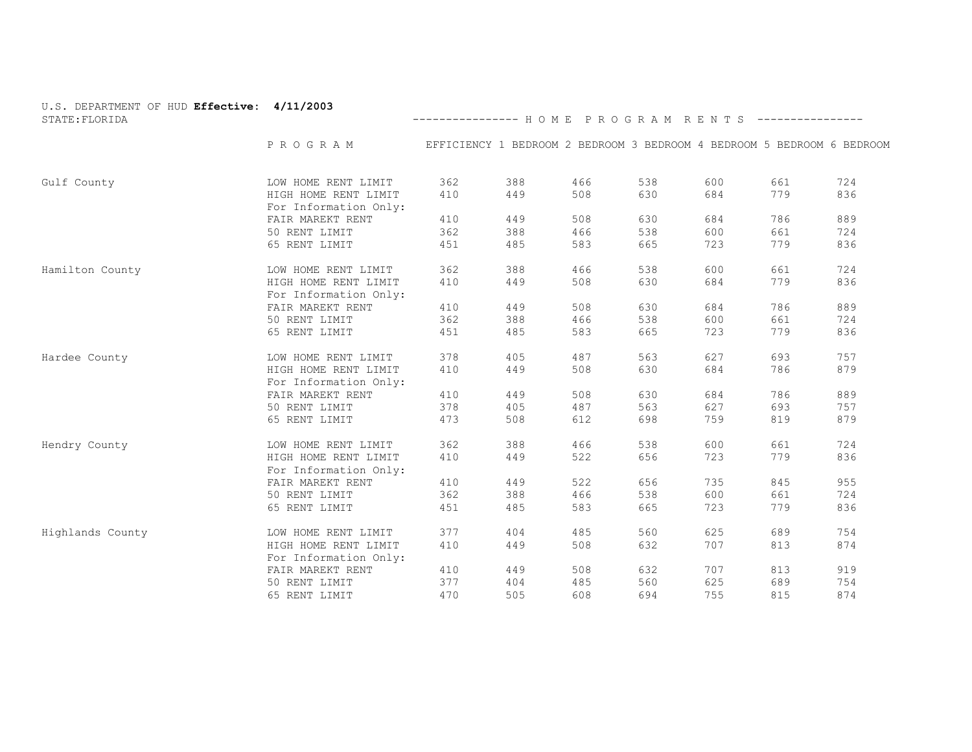| U.S. DEPARTMENT OF HUD Effective: 4/11/2003<br>STATE: FLORIDA |                                               | --------------- HOME PROGRAM RENTS ----------------                    |     |     |     |     |     |     |
|---------------------------------------------------------------|-----------------------------------------------|------------------------------------------------------------------------|-----|-----|-----|-----|-----|-----|
|                                                               | P R O G R A M                                 | EFFICIENCY 1 BEDROOM 2 BEDROOM 3 BEDROOM 4 BEDROOM 5 BEDROOM 6 BEDROOM |     |     |     |     |     |     |
| Gulf County                                                   | LOW HOME RENT LIMIT                           | 362                                                                    | 388 | 466 | 538 | 600 | 661 | 724 |
|                                                               | HIGH HOME RENT LIMIT<br>For Information Only: | 410                                                                    | 449 | 508 | 630 | 684 | 779 | 836 |
|                                                               | FAIR MAREKT RENT                              | 410                                                                    | 449 | 508 | 630 | 684 | 786 | 889 |
|                                                               | 50 RENT LIMIT                                 | 362                                                                    | 388 | 466 | 538 | 600 | 661 | 724 |
|                                                               | 65 RENT LIMIT                                 | 451                                                                    | 485 | 583 | 665 | 723 | 779 | 836 |
| Hamilton County                                               | LOW HOME RENT LIMIT                           | 362                                                                    | 388 | 466 | 538 | 600 | 661 | 724 |
|                                                               | HIGH HOME RENT LIMIT<br>For Information Only: | 410                                                                    | 449 | 508 | 630 | 684 | 779 | 836 |
|                                                               | FAIR MAREKT RENT                              | 410                                                                    | 449 | 508 | 630 | 684 | 786 | 889 |
|                                                               | 50 RENT LIMIT                                 | 362                                                                    | 388 | 466 | 538 | 600 | 661 | 724 |
|                                                               | 65 RENT LIMIT                                 | 451                                                                    | 485 | 583 | 665 | 723 | 779 | 836 |
| Hardee County                                                 | LOW HOME RENT LIMIT                           | 378                                                                    | 405 | 487 | 563 | 627 | 693 | 757 |
|                                                               | HIGH HOME RENT LIMIT<br>For Information Only: | 410                                                                    | 449 | 508 | 630 | 684 | 786 | 879 |
|                                                               | FAIR MAREKT RENT                              | 410                                                                    | 449 | 508 | 630 | 684 | 786 | 889 |
|                                                               | 50 RENT LIMIT                                 | 378                                                                    | 405 | 487 | 563 | 627 | 693 | 757 |
|                                                               | 65 RENT LIMIT                                 | 473                                                                    | 508 | 612 | 698 | 759 | 819 | 879 |
| Hendry County                                                 | LOW HOME RENT LIMIT                           | 362                                                                    | 388 | 466 | 538 | 600 | 661 | 724 |
|                                                               | HIGH HOME RENT LIMIT<br>For Information Only: | 410                                                                    | 449 | 522 | 656 | 723 | 779 | 836 |
|                                                               | FAIR MAREKT RENT                              | 410                                                                    | 449 | 522 | 656 | 735 | 845 | 955 |
|                                                               | 50 RENT LIMIT                                 | 362                                                                    | 388 | 466 | 538 | 600 | 661 | 724 |
|                                                               | 65 RENT LIMIT                                 | 451                                                                    | 485 | 583 | 665 | 723 | 779 | 836 |
| Highlands County                                              | LOW HOME RENT LIMIT                           | 377                                                                    | 404 | 485 | 560 | 625 | 689 | 754 |
|                                                               | HIGH HOME RENT LIMIT<br>For Information Only: | 410                                                                    | 449 | 508 | 632 | 707 | 813 | 874 |
|                                                               | FAIR MAREKT RENT                              | 410                                                                    | 449 | 508 | 632 | 707 | 813 | 919 |
|                                                               | 50 RENT LIMIT                                 | 377                                                                    | 404 | 485 | 560 | 625 | 689 | 754 |
|                                                               | 65 RENT LIMIT                                 | 470                                                                    | 505 | 608 | 694 | 755 | 815 | 874 |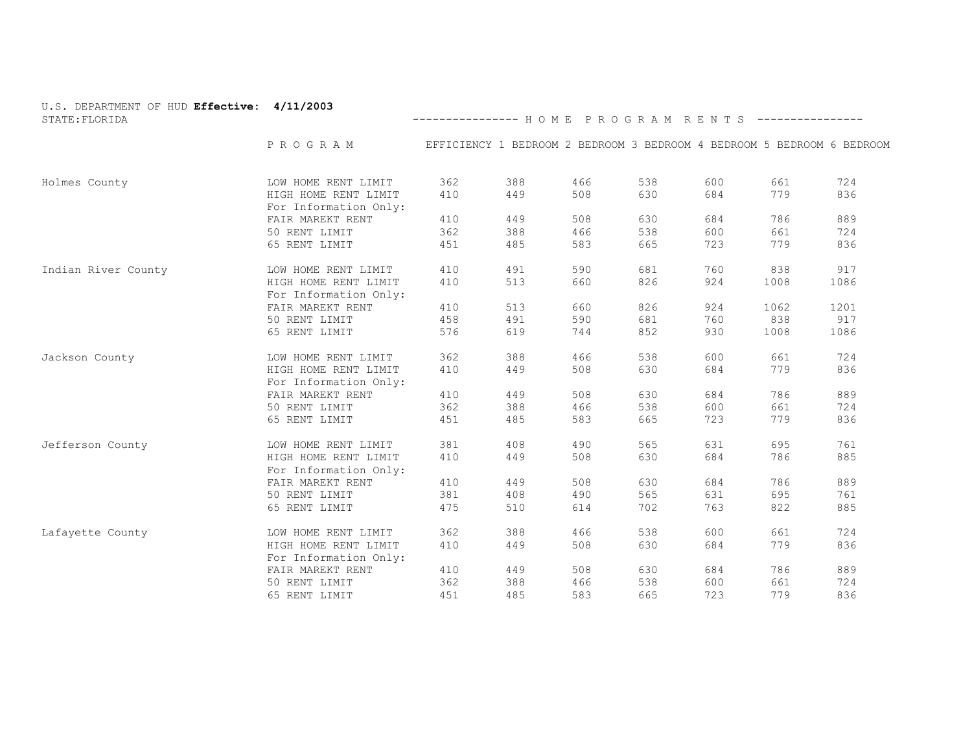| U.S. DEPARTMENT OF HUD Effective: 4/11/2003<br>STATE: FLORIDA |                                               | --------------- HOME PROGRAM RENTS ----------------                    |     |     |     |     |      |      |
|---------------------------------------------------------------|-----------------------------------------------|------------------------------------------------------------------------|-----|-----|-----|-----|------|------|
|                                                               | PROGRAM                                       | EFFICIENCY 1 BEDROOM 2 BEDROOM 3 BEDROOM 4 BEDROOM 5 BEDROOM 6 BEDROOM |     |     |     |     |      |      |
| Holmes County                                                 | LOW HOME RENT LIMIT                           | 362                                                                    | 388 | 466 | 538 | 600 | 661  | 724  |
|                                                               | HIGH HOME RENT LIMIT<br>For Information Only: | 410                                                                    | 449 | 508 | 630 | 684 | 779  | 836  |
|                                                               | FAIR MAREKT RENT                              | 410                                                                    | 449 | 508 | 630 | 684 | 786  | 889  |
|                                                               | 50 RENT LIMIT                                 | 362                                                                    | 388 | 466 | 538 | 600 | 661  | 724  |
|                                                               | 65 RENT LIMIT                                 | 451                                                                    | 485 | 583 | 665 | 723 | 779  | 836  |
| Indian River County                                           | LOW HOME RENT LIMIT                           | 410                                                                    | 491 | 590 | 681 | 760 | 838  | 917  |
|                                                               | HIGH HOME RENT LIMIT<br>For Information Only: | 410                                                                    | 513 | 660 | 826 | 924 | 1008 | 1086 |
|                                                               | FAIR MAREKT RENT                              | 410                                                                    | 513 | 660 | 826 | 924 | 1062 | 1201 |
|                                                               | 50 RENT LIMIT                                 | 458                                                                    | 491 | 590 | 681 | 760 | 838  | 917  |
|                                                               | 65 RENT LIMIT                                 | 576                                                                    | 619 | 744 | 852 | 930 | 1008 | 1086 |
| Jackson County                                                | LOW HOME RENT LIMIT                           | 362                                                                    | 388 | 466 | 538 | 600 | 661  | 724  |
|                                                               | HIGH HOME RENT LIMIT<br>For Information Only: | 410                                                                    | 449 | 508 | 630 | 684 | 779  | 836  |
|                                                               | FAIR MAREKT RENT                              | 410                                                                    | 449 | 508 | 630 | 684 | 786  | 889  |
|                                                               | 50 RENT LIMIT                                 | 362                                                                    | 388 | 466 | 538 | 600 | 661  | 724  |
|                                                               | 65 RENT LIMIT                                 | 451                                                                    | 485 | 583 | 665 | 723 | 779  | 836  |
| Jefferson County                                              | LOW HOME RENT LIMIT                           | 381                                                                    | 408 | 490 | 565 | 631 | 695  | 761  |
|                                                               | HIGH HOME RENT LIMIT<br>For Information Only: | 410                                                                    | 449 | 508 | 630 | 684 | 786  | 885  |
|                                                               | FAIR MAREKT RENT                              | 410                                                                    | 449 | 508 | 630 | 684 | 786  | 889  |
|                                                               | 50 RENT LIMIT                                 | 381                                                                    | 408 | 490 | 565 | 631 | 695  | 761  |
|                                                               | 65 RENT LIMIT                                 | 475                                                                    | 510 | 614 | 702 | 763 | 822  | 885  |
| Lafayette County                                              | LOW HOME RENT LIMIT                           | 362                                                                    | 388 | 466 | 538 | 600 | 661  | 724  |
|                                                               | HIGH HOME RENT LIMIT<br>For Information Only: | 410                                                                    | 449 | 508 | 630 | 684 | 779  | 836  |
|                                                               | FAIR MAREKT RENT                              | 410                                                                    | 449 | 508 | 630 | 684 | 786  | 889  |
|                                                               | 50 RENT LIMIT                                 | 362                                                                    | 388 | 466 | 538 | 600 | 661  | 724  |
|                                                               | 65 RENT LIMIT                                 | 451                                                                    | 485 | 583 | 665 | 723 | 779  | 836  |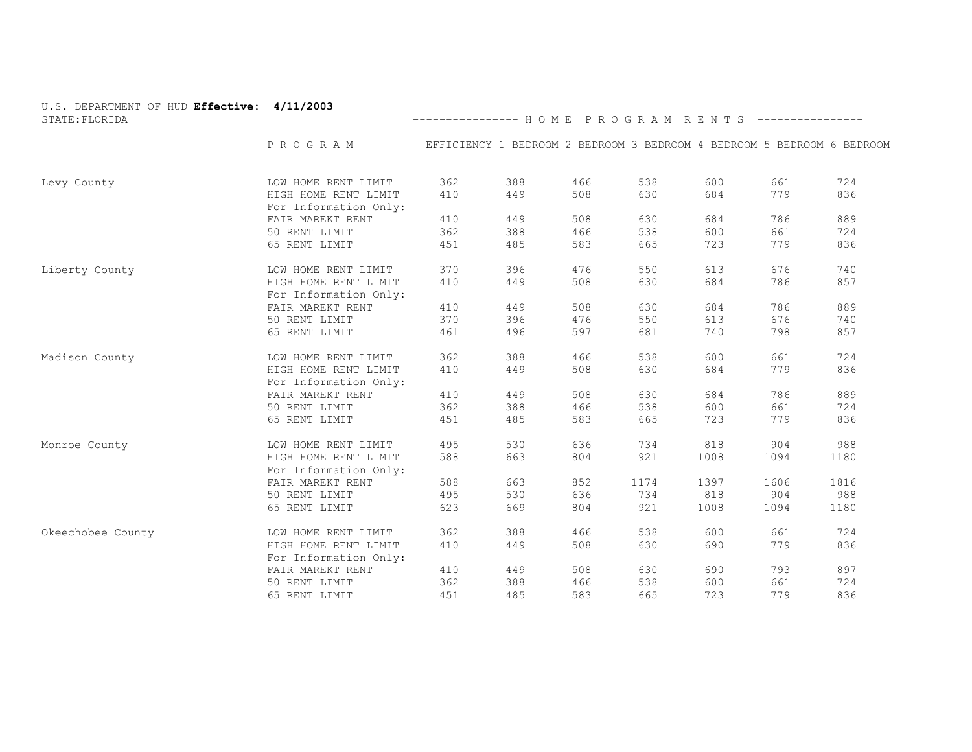| U.S. DEPARTMENT OF HUD Effective: 4/11/2003<br>STATE: FLORIDA |                                               | --------------- HOME PROGRAM RENTS ----------------                    |     |     |      |      |      |      |
|---------------------------------------------------------------|-----------------------------------------------|------------------------------------------------------------------------|-----|-----|------|------|------|------|
|                                                               | PROGRAM                                       | EFFICIENCY 1 BEDROOM 2 BEDROOM 3 BEDROOM 4 BEDROOM 5 BEDROOM 6 BEDROOM |     |     |      |      |      |      |
| Levy County                                                   | LOW HOME RENT LIMIT                           | 362                                                                    | 388 | 466 | 538  | 600  | 661  | 724  |
|                                                               | HIGH HOME RENT LIMIT<br>For Information Only: | 410                                                                    | 449 | 508 | 630  | 684  | 779  | 836  |
|                                                               | FAIR MAREKT RENT                              | 410                                                                    | 449 | 508 | 630  | 684  | 786  | 889  |
|                                                               | 50 RENT LIMIT                                 | 362                                                                    | 388 | 466 | 538  | 600  | 661  | 724  |
|                                                               | 65 RENT LIMIT                                 | 451                                                                    | 485 | 583 | 665  | 723  | 779  | 836  |
| Liberty County                                                | LOW HOME RENT LIMIT                           | 370                                                                    | 396 | 476 | 550  | 613  | 676  | 740  |
|                                                               | HIGH HOME RENT LIMIT<br>For Information Only: | 410                                                                    | 449 | 508 | 630  | 684  | 786  | 857  |
|                                                               | FAIR MAREKT RENT                              | 410                                                                    | 449 | 508 | 630  | 684  | 786  | 889  |
|                                                               | 50 RENT LIMIT                                 | 370                                                                    | 396 | 476 | 550  | 613  | 676  | 740  |
|                                                               | 65 RENT LIMIT                                 | 461                                                                    | 496 | 597 | 681  | 740  | 798  | 857  |
| Madison County                                                | LOW HOME RENT LIMIT                           | 362                                                                    | 388 | 466 | 538  | 600  | 661  | 724  |
|                                                               | HIGH HOME RENT LIMIT<br>For Information Only: | 410                                                                    | 449 | 508 | 630  | 684  | 779  | 836  |
|                                                               | FAIR MAREKT RENT                              | 410                                                                    | 449 | 508 | 630  | 684  | 786  | 889  |
|                                                               | 50 RENT LIMIT                                 | 362                                                                    | 388 | 466 | 538  | 600  | 661  | 724  |
|                                                               | 65 RENT LIMIT                                 | 451                                                                    | 485 | 583 | 665  | 723  | 779  | 836  |
| Monroe County                                                 | LOW HOME RENT LIMIT                           | 495                                                                    | 530 | 636 | 734  | 818  | 904  | 988  |
|                                                               | HIGH HOME RENT LIMIT<br>For Information Only: | 588                                                                    | 663 | 804 | 921  | 1008 | 1094 | 1180 |
|                                                               | FAIR MAREKT RENT                              | 588                                                                    | 663 | 852 | 1174 | 1397 | 1606 | 1816 |
|                                                               | 50 RENT LIMIT                                 | 495                                                                    | 530 | 636 | 734  | 818  | 904  | 988  |
|                                                               | 65 RENT LIMIT                                 | 623                                                                    | 669 | 804 | 921  | 1008 | 1094 | 1180 |
| Okeechobee County                                             | LOW HOME RENT LIMIT                           | 362                                                                    | 388 | 466 | 538  | 600  | 661  | 724  |
|                                                               | HIGH HOME RENT LIMIT<br>For Information Only: | 410                                                                    | 449 | 508 | 630  | 690  | 779  | 836  |
|                                                               | FAIR MAREKT RENT                              | 410                                                                    | 449 | 508 | 630  | 690  | 793  | 897  |
|                                                               | 50 RENT LIMIT                                 | 362                                                                    | 388 | 466 | 538  | 600  | 661  | 724  |
|                                                               | 65 RENT LIMIT                                 | 451                                                                    | 485 | 583 | 665  | 723  | 779  | 836  |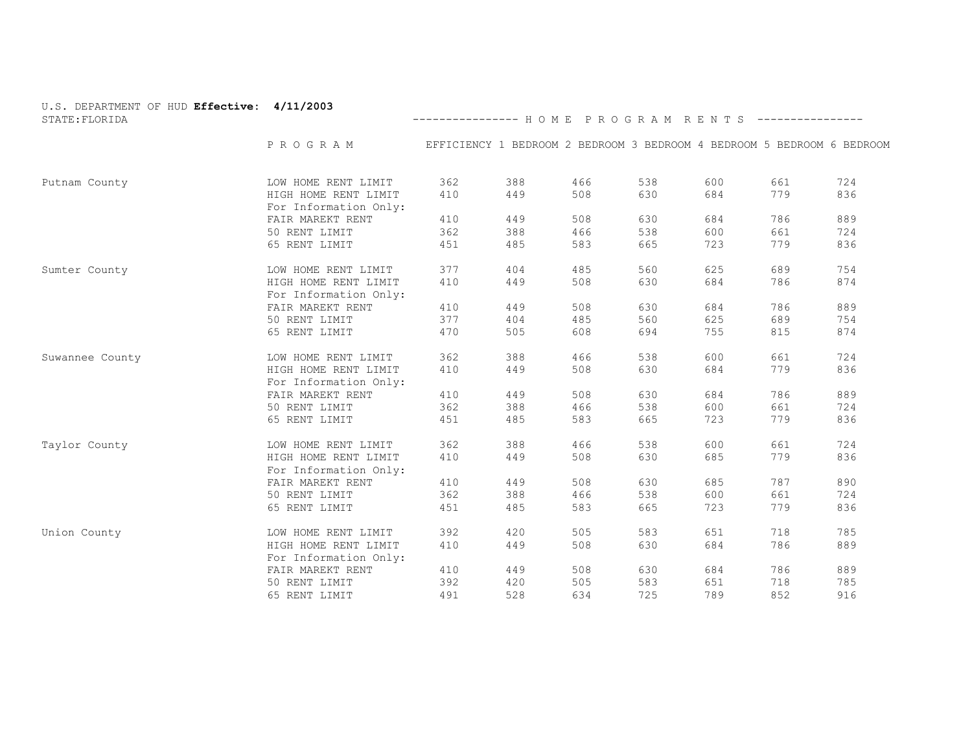| U.S. DEPARTMENT OF HUD Effective: 4/11/2003<br>STATE: FLORIDA |                                               | --------------- HOME PROGRAM RENTS ----------------                    |     |     |     |     |     |     |
|---------------------------------------------------------------|-----------------------------------------------|------------------------------------------------------------------------|-----|-----|-----|-----|-----|-----|
|                                                               | P R O G R A M                                 | EFFICIENCY 1 BEDROOM 2 BEDROOM 3 BEDROOM 4 BEDROOM 5 BEDROOM 6 BEDROOM |     |     |     |     |     |     |
| Putnam County                                                 | LOW HOME RENT LIMIT                           | 362                                                                    | 388 | 466 | 538 | 600 | 661 | 724 |
|                                                               | HIGH HOME RENT LIMIT<br>For Information Only: | 410                                                                    | 449 | 508 | 630 | 684 | 779 | 836 |
|                                                               | FAIR MAREKT RENT                              | 410                                                                    | 449 | 508 | 630 | 684 | 786 | 889 |
|                                                               | 50 RENT LIMIT                                 | 362                                                                    | 388 | 466 | 538 | 600 | 661 | 724 |
|                                                               | 65 RENT LIMIT                                 | 451                                                                    | 485 | 583 | 665 | 723 | 779 | 836 |
| Sumter County                                                 | LOW HOME RENT LIMIT                           | 377                                                                    | 404 | 485 | 560 | 625 | 689 | 754 |
|                                                               | HIGH HOME RENT LIMIT<br>For Information Only: | 410                                                                    | 449 | 508 | 630 | 684 | 786 | 874 |
|                                                               | FAIR MAREKT RENT                              | 410                                                                    | 449 | 508 | 630 | 684 | 786 | 889 |
|                                                               | 50 RENT LIMIT                                 | 377                                                                    | 404 | 485 | 560 | 625 | 689 | 754 |
|                                                               | 65 RENT LIMIT                                 | 470                                                                    | 505 | 608 | 694 | 755 | 815 | 874 |
| Suwannee County                                               | LOW HOME RENT LIMIT                           | 362                                                                    | 388 | 466 | 538 | 600 | 661 | 724 |
|                                                               | HIGH HOME RENT LIMIT<br>For Information Only: | 410                                                                    | 449 | 508 | 630 | 684 | 779 | 836 |
|                                                               | FAIR MAREKT RENT                              | 410                                                                    | 449 | 508 | 630 | 684 | 786 | 889 |
|                                                               | 50 RENT LIMIT                                 | 362                                                                    | 388 | 466 | 538 | 600 | 661 | 724 |
|                                                               | 65 RENT LIMIT                                 | 451                                                                    | 485 | 583 | 665 | 723 | 779 | 836 |
| Taylor County                                                 | LOW HOME RENT LIMIT                           | 362                                                                    | 388 | 466 | 538 | 600 | 661 | 724 |
|                                                               | HIGH HOME RENT LIMIT<br>For Information Only: | 410                                                                    | 449 | 508 | 630 | 685 | 779 | 836 |
|                                                               | FAIR MAREKT RENT                              | 410                                                                    | 449 | 508 | 630 | 685 | 787 | 890 |
|                                                               | 50 RENT LIMIT                                 | 362                                                                    | 388 | 466 | 538 | 600 | 661 | 724 |
|                                                               | 65 RENT LIMIT                                 | 451                                                                    | 485 | 583 | 665 | 723 | 779 | 836 |
| Union County                                                  | LOW HOME RENT LIMIT                           | 392                                                                    | 420 | 505 | 583 | 651 | 718 | 785 |
|                                                               | HIGH HOME RENT LIMIT<br>For Information Only: | 410                                                                    | 449 | 508 | 630 | 684 | 786 | 889 |
|                                                               | FAIR MAREKT RENT                              | 410                                                                    | 449 | 508 | 630 | 684 | 786 | 889 |
|                                                               | 50 RENT LIMIT                                 | 392                                                                    | 420 | 505 | 583 | 651 | 718 | 785 |
|                                                               | 65 RENT LIMIT                                 | 491                                                                    | 528 | 634 | 725 | 789 | 852 | 916 |